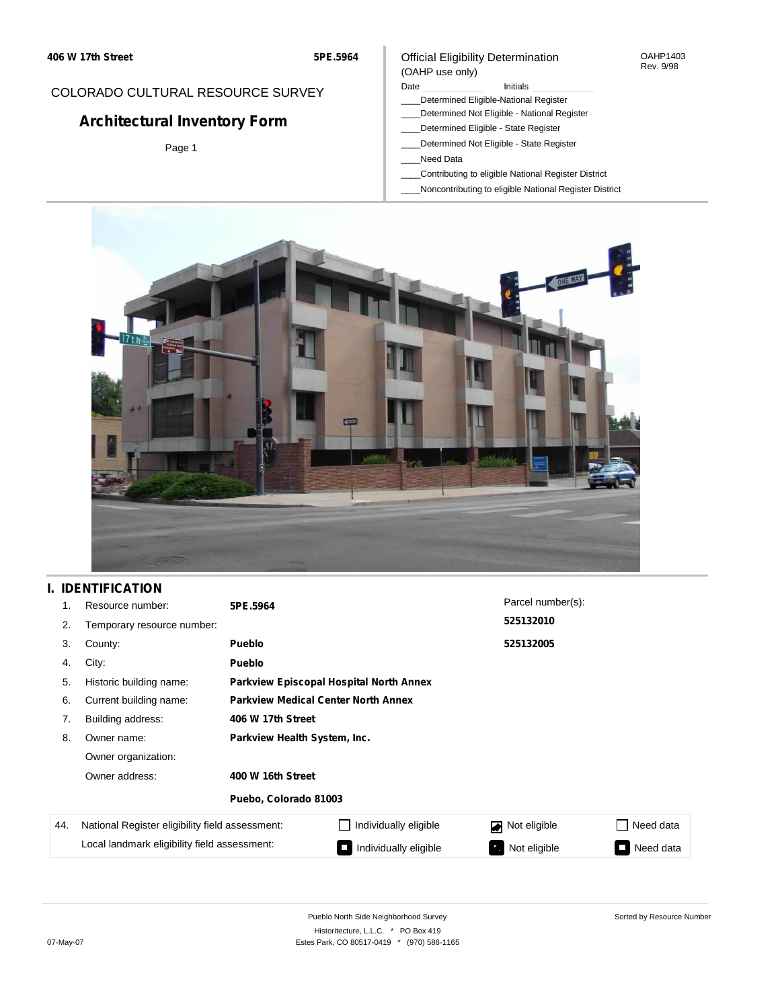### Official Eligibility Determination (OAHP use only)

#### OAHP1403 Rev. 9/98

### COLORADO CULTURAL RESOURCE SURVEY

# **Architectural Inventory Form**

Page 1

## Date **Initials** Initials

- \_\_\_\_Determined Eligible-National Register
- \_\_\_\_Determined Not Eligible National Register \_\_\_\_Determined Eligible - State Register
- \_\_\_\_Determined Not Eligible State Register
- \_\_\_\_Need Data
- \_\_\_\_Contributing to eligible National Register District
- \_\_\_\_Noncontributing to eligible National Register District



### **I. IDENTIFICATION**

| 1.  | Resource number:                                | 5PE.5964                                   |                                         | Parcel number(s):  |           |  |  |  |
|-----|-------------------------------------------------|--------------------------------------------|-----------------------------------------|--------------------|-----------|--|--|--|
| 2.  | Temporary resource number:                      |                                            |                                         | 525132010          |           |  |  |  |
| 3.  | County:                                         | <b>Pueblo</b>                              | 525132005                               |                    |           |  |  |  |
| 4.  | City:                                           | <b>Pueblo</b>                              |                                         |                    |           |  |  |  |
| 5.  | Historic building name:                         |                                            | Parkview Episcopal Hospital North Annex |                    |           |  |  |  |
| 6.  | Current building name:                          | <b>Parkview Medical Center North Annex</b> |                                         |                    |           |  |  |  |
| 7.  | Building address:                               | 406 W 17th Street                          |                                         |                    |           |  |  |  |
| 8.  | Owner name:                                     | Parkview Health System, Inc.               |                                         |                    |           |  |  |  |
|     | Owner organization:                             |                                            |                                         |                    |           |  |  |  |
|     | Owner address:                                  | 400 W 16th Street                          |                                         |                    |           |  |  |  |
|     |                                                 | Puebo, Colorado 81003                      |                                         |                    |           |  |  |  |
| 44. | National Register eligibility field assessment: |                                            | Individually eligible                   | Not eligible       | Need data |  |  |  |
|     | Local landmark eligibility field assessment:    |                                            | Individually eligible                   | Not eligible<br>У. | Need data |  |  |  |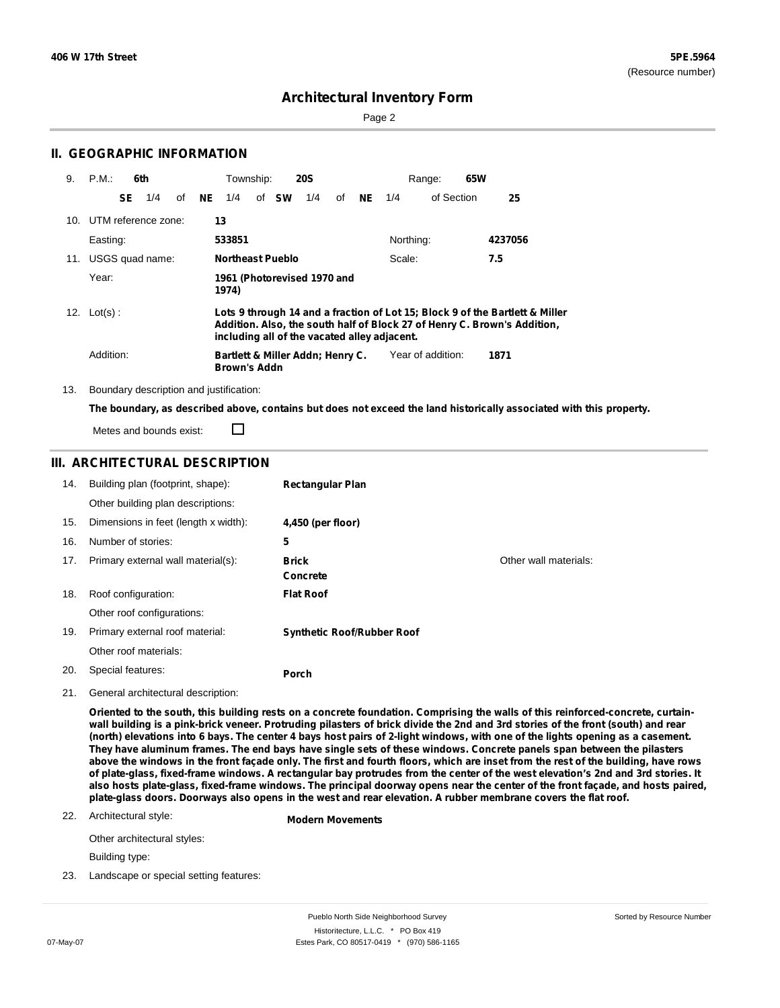Page 2

|     | <b>II. GEOGRAPHIC INFORMATION</b>       |                 |                                                         |                                                                                                                                                                                                          |    |           |           |                   |     |                                                                                                                     |  |
|-----|-----------------------------------------|-----------------|---------------------------------------------------------|----------------------------------------------------------------------------------------------------------------------------------------------------------------------------------------------------------|----|-----------|-----------|-------------------|-----|---------------------------------------------------------------------------------------------------------------------|--|
| 9.  | P.M.:<br>6th                            |                 | Township:                                               | <b>20S</b>                                                                                                                                                                                               |    |           |           | Range:            | 65W |                                                                                                                     |  |
|     | SE.<br>1/4                              | <b>NE</b><br>of | 1/4<br>sw<br>of                                         | 1/4                                                                                                                                                                                                      | οf | <b>NE</b> | 1/4       | of Section        |     | 25                                                                                                                  |  |
| 10. | UTM reference zone:                     |                 | 13                                                      |                                                                                                                                                                                                          |    |           |           |                   |     |                                                                                                                     |  |
|     | Easting:                                |                 | 533851                                                  |                                                                                                                                                                                                          |    |           | Northing: |                   |     | 4237056                                                                                                             |  |
| 11. | USGS quad name:                         |                 | <b>Northeast Pueblo</b>                                 |                                                                                                                                                                                                          |    |           | Scale:    |                   |     | 7.5                                                                                                                 |  |
|     | Year:                                   |                 | 1961 (Photorevised 1970 and<br>1974)                    |                                                                                                                                                                                                          |    |           |           |                   |     |                                                                                                                     |  |
|     | 12. $Lot(s)$ :                          |                 |                                                         | Lots 9 through 14 and a fraction of Lot 15; Block 9 of the Bartlett & Miller<br>Addition. Also, the south half of Block 27 of Henry C. Brown's Addition,<br>including all of the vacated alley adjacent. |    |           |           |                   |     |                                                                                                                     |  |
|     | Addition:                               |                 | Bartlett & Miller Addn; Henry C.<br><b>Brown's Addn</b> |                                                                                                                                                                                                          |    |           |           | Year of addition: |     | 1871                                                                                                                |  |
| 13. | Boundary description and justification: |                 |                                                         |                                                                                                                                                                                                          |    |           |           |                   |     |                                                                                                                     |  |
|     |                                         |                 |                                                         |                                                                                                                                                                                                          |    |           |           |                   |     | The boundary, as described above, contains but does not exceed the land historically associated with this property. |  |

Metes and bounds exist:

### **III. ARCHITECTURAL DESCRIPTION**

□

| 14. | Building plan (footprint, shape):    | <b>Rectangular Plan</b>           |                       |
|-----|--------------------------------------|-----------------------------------|-----------------------|
|     | Other building plan descriptions:    |                                   |                       |
| 15. | Dimensions in feet (length x width): | 4,450 (per floor)                 |                       |
| 16. | Number of stories:                   | 5                                 |                       |
| 17. | Primary external wall material(s):   | <b>Brick</b>                      | Other wall materials: |
|     |                                      | <b>Concrete</b>                   |                       |
| 18. | Roof configuration:                  | <b>Flat Roof</b>                  |                       |
|     | Other roof configurations:           |                                   |                       |
| 19. | Primary external roof material:      | <b>Synthetic Roof/Rubber Roof</b> |                       |
|     | Other roof materials:                |                                   |                       |
| 20. | Special features:                    | Porch                             |                       |

21. General architectural description:

Oriented to the south, this building rests on a concrete foundation. Comprising the walls of this reinforced-concrete, curtainwall building is a pink-brick veneer. Protruding pilasters of brick divide the 2nd and 3rd stories of the front (south) and rear (north) elevations into 6 bays. The center 4 bays host pairs of 2-light windows, with one of the lights opening as a casement. They have aluminum frames. The end bays have single sets of these windows. Concrete panels span between the pilasters above the windows in the front façade only. The first and fourth floors, which are inset from the rest of the building, have rows of plate-glass, fixed-frame windows. A rectangular bay protrudes from the center of the west elevation's 2nd and 3rd stories. It also hosts plate-glass, fixed-frame windows. The principal doorway opens near the center of the front façade, and hosts paired, plate-glass doors. Doorways also opens in the west and rear elevation. A rubber membrane covers the flat roof.

#### 22. Architectural style:

**Modern Movements**

Other architectural styles:

Building type:

23. Landscape or special setting features: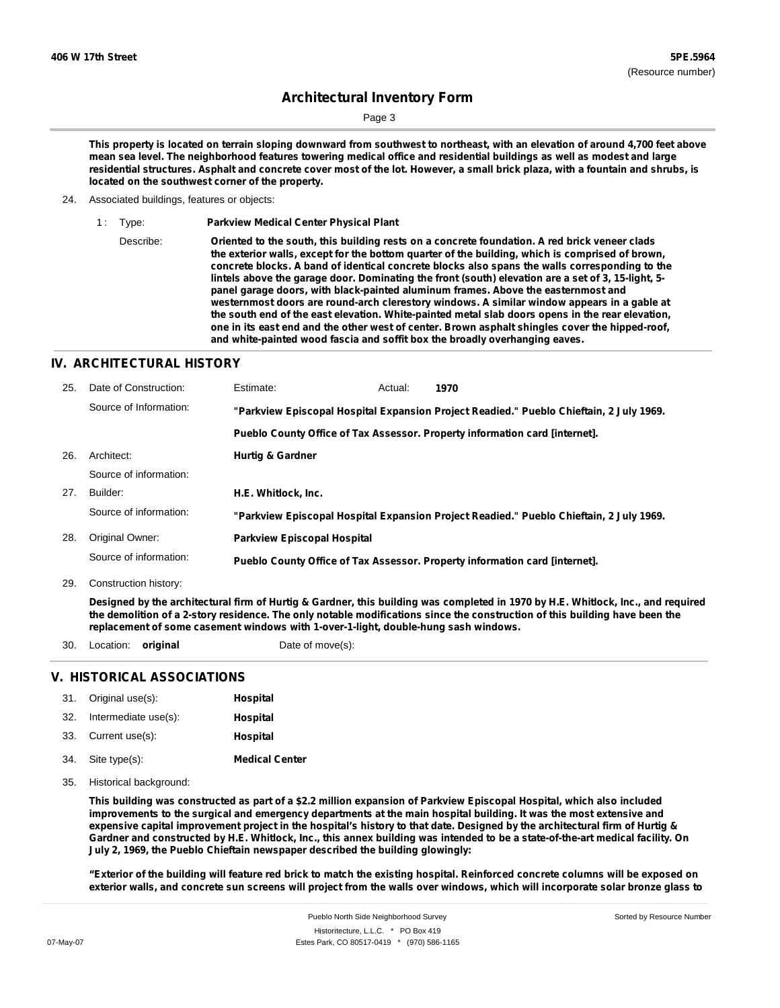Page 3

This property is located on terrain sloping downward from southwest to northeast, with an elevation of around 4,700 feet above mean sea level. The neighborhood features towering medical office and residential buildings as well as modest and large residential structures. Asphalt and concrete cover most of the lot. However, a small brick plaza, with a fountain and shrubs, is **located on the southwest corner of the property.**

- 24. Associated buildings, features or objects:
	- 1 : Type: **Parkview Medical Center Physical Plant**

Describe: **Oriented to the south, this building rests on a concrete foundation. A red brick veneer clads the exterior walls, except for the bottom quarter of the building, which is comprised of brown, concrete blocks. A band of identical concrete blocks also spans the walls corresponding to the lintels above the garage door. Dominating the front (south) elevation are a set of 3, 15-light, 5 panel garage doors, with black-painted aluminum frames. Above the easternmost and westernmost doors are round-arch clerestory windows. A similar window appears in a gable at the south end of the east elevation. White-painted metal slab doors opens in the rear elevation, one in its east end and the other west of center. Brown asphalt shingles cover the hipped-roof, and white-painted wood fascia and soffit box the broadly overhanging eaves.**

### **IV. ARCHITECTURAL HISTORY**

| 25. | Date of Construction:  | Estimate:                                                                               | Actual: | 1970                                                                                    |
|-----|------------------------|-----------------------------------------------------------------------------------------|---------|-----------------------------------------------------------------------------------------|
|     | Source of Information: | "Parkview Episcopal Hospital Expansion Project Readied." Pueblo Chieftain, 2 July 1969. |         |                                                                                         |
|     |                        |                                                                                         |         | Pueblo County Office of Tax Assessor. Property information card [internet].             |
| 26. | Architect:             | <b>Hurtig &amp; Gardner</b>                                                             |         |                                                                                         |
|     | Source of information: |                                                                                         |         |                                                                                         |
| 27. | Builder:               | H.E. Whitlock. Inc.                                                                     |         |                                                                                         |
|     | Source of information: |                                                                                         |         | "Parkview Episcopal Hospital Expansion Project Readied." Pueblo Chieftain, 2 July 1969. |
| 28. | Original Owner:        | <b>Parkview Episcopal Hospital</b>                                                      |         |                                                                                         |
|     | Source of information: |                                                                                         |         | Pueblo County Office of Tax Assessor. Property information card [internet].             |

29. Construction history:

Designed by the architectural firm of Hurtig & Gardner, this building was completed in 1970 by H.E. Whitlock, Inc., and required the demolition of a 2-story residence. The only notable modifications since the construction of this building have been the **replacement of some casement windows with 1-over-1-light, double-hung sash windows.**

30. Location: **original** Date of move(s):

### **V. HISTORICAL ASSOCIATIONS**

|     | 31. Original use(s): | Hospital              |
|-----|----------------------|-----------------------|
| 32. | Intermediate use(s): | Hospital              |
|     | 33. Current use(s):  | Hospital              |
|     | 34. Site type(s):    | <b>Medical Center</b> |

35. Historical background:

This building was constructed as part of a \$2.2 million expansion of Parkview Episcopal Hospital, which also included improvements to the surgical and emergency departments at the main hospital building. It was the most extensive and expensive capital improvement project in the hospital's history to that date. Designed by the architectural firm of Hurtig & Gardner and constructed by H.E. Whitlock, Inc., this annex building was intended to be a state-of-the-art medical facility. On **July 2, 1969, the Pueblo Chieftain newspaper described the building glowingly:**

"Exterior of the building will feature red brick to match the existing hospital. Reinforced concrete columns will be exposed on exterior walls, and concrete sun screens will project from the walls over windows, which will incorporate solar bronze glass to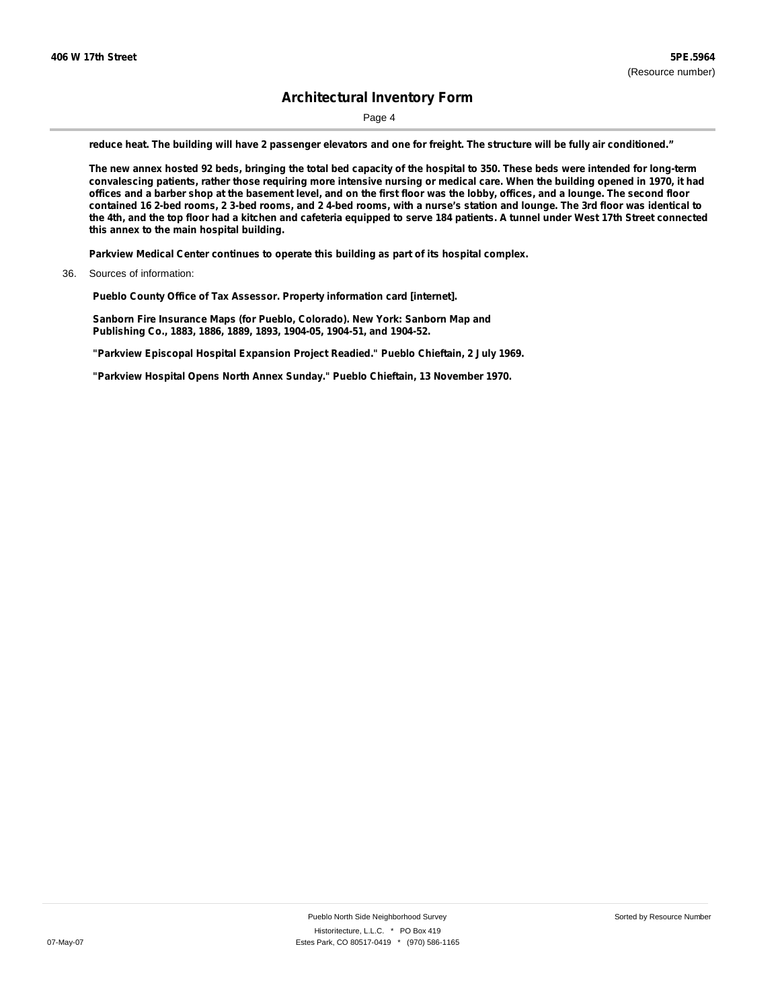Page 4

reduce heat. The building will have 2 passenger elevators and one for freight. The structure will be fully air conditioned."

The new annex hosted 92 beds, bringing the total bed capacity of the hospital to 350. These beds were intended for long-term convalescing patients, rather those requiring more intensive nursing or medical care. When the building opened in 1970, it had offices and a barber shop at the basement level, and on the first floor was the lobby, offices, and a lounge. The second floor contained 16 2-bed rooms, 2 3-bed rooms, and 2 4-bed rooms, with a nurse's station and lounge. The 3rd floor was identical to the 4th, and the top floor had a kitchen and cafeteria equipped to serve 184 patients. A tunnel under West 17th Street connected **this annex to the main hospital building.**

**Parkview Medical Center continues to operate this building as part of its hospital complex.**

**Pueblo County Office of Tax Assessor. Property information card [internet].**

**Sanborn Fire Insurance Maps (for Pueblo, Colorado). New York: Sanborn Map and Publishing Co., 1883, 1886, 1889, 1893, 1904-05, 1904-51, and 1904-52.**

**"Parkview Episcopal Hospital Expansion Project Readied." Pueblo Chieftain, 2 July 1969.**

**"Parkview Hospital Opens North Annex Sunday." Pueblo Chieftain, 13 November 1970.**

<sup>36.</sup> Sources of information: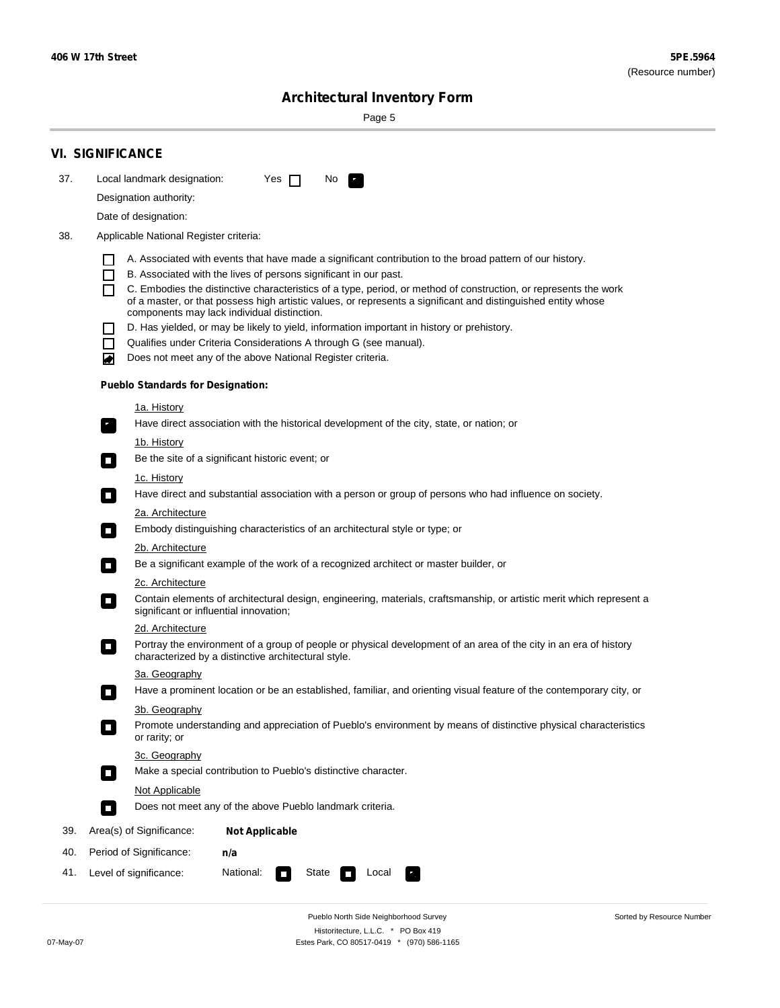Sorted by Resource Number

# **Architectural Inventory Form**

Page 5

|     | <b>VI. SIGNIFICANCE</b>                                                                                                                                                                                                                                                                                                                                                                                                                                                                                                                                                                                                                                                                                                                                                                                                                                                                                                                                                                                                                                                                                                                                                                                                                                                                                                                                                                                                                                                                                                                                                                                                                                                                                                                                                                                                                                                                                                                                                                                                                                                                                                                                                               |
|-----|---------------------------------------------------------------------------------------------------------------------------------------------------------------------------------------------------------------------------------------------------------------------------------------------------------------------------------------------------------------------------------------------------------------------------------------------------------------------------------------------------------------------------------------------------------------------------------------------------------------------------------------------------------------------------------------------------------------------------------------------------------------------------------------------------------------------------------------------------------------------------------------------------------------------------------------------------------------------------------------------------------------------------------------------------------------------------------------------------------------------------------------------------------------------------------------------------------------------------------------------------------------------------------------------------------------------------------------------------------------------------------------------------------------------------------------------------------------------------------------------------------------------------------------------------------------------------------------------------------------------------------------------------------------------------------------------------------------------------------------------------------------------------------------------------------------------------------------------------------------------------------------------------------------------------------------------------------------------------------------------------------------------------------------------------------------------------------------------------------------------------------------------------------------------------------------|
| 37. | Local landmark designation:<br>Yes $\Box$<br>No.<br>HE 2                                                                                                                                                                                                                                                                                                                                                                                                                                                                                                                                                                                                                                                                                                                                                                                                                                                                                                                                                                                                                                                                                                                                                                                                                                                                                                                                                                                                                                                                                                                                                                                                                                                                                                                                                                                                                                                                                                                                                                                                                                                                                                                              |
|     | Designation authority:                                                                                                                                                                                                                                                                                                                                                                                                                                                                                                                                                                                                                                                                                                                                                                                                                                                                                                                                                                                                                                                                                                                                                                                                                                                                                                                                                                                                                                                                                                                                                                                                                                                                                                                                                                                                                                                                                                                                                                                                                                                                                                                                                                |
|     |                                                                                                                                                                                                                                                                                                                                                                                                                                                                                                                                                                                                                                                                                                                                                                                                                                                                                                                                                                                                                                                                                                                                                                                                                                                                                                                                                                                                                                                                                                                                                                                                                                                                                                                                                                                                                                                                                                                                                                                                                                                                                                                                                                                       |
|     |                                                                                                                                                                                                                                                                                                                                                                                                                                                                                                                                                                                                                                                                                                                                                                                                                                                                                                                                                                                                                                                                                                                                                                                                                                                                                                                                                                                                                                                                                                                                                                                                                                                                                                                                                                                                                                                                                                                                                                                                                                                                                                                                                                                       |
| 38. | Date of designation:<br>Applicable National Register criteria:<br>A. Associated with events that have made a significant contribution to the broad pattern of our history.<br>B. Associated with the lives of persons significant in our past.<br>$\blacksquare$<br>C. Embodies the distinctive characteristics of a type, period, or method of construction, or represents the work<br>П<br>of a master, or that possess high artistic values, or represents a significant and distinguished entity whose<br>components may lack individual distinction.<br>D. Has yielded, or may be likely to yield, information important in history or prehistory.<br>Qualifies under Criteria Considerations A through G (see manual).<br>$\sim$<br>Does not meet any of the above National Register criteria.<br>₩<br><b>Pueblo Standards for Designation:</b><br>1a. History<br>Have direct association with the historical development of the city, state, or nation; or<br>$\mathbf{r}_\perp$<br>1b. History<br>Be the site of a significant historic event; or<br>$\blacksquare$<br>1c. History<br>Have direct and substantial association with a person or group of persons who had influence on society.<br>$\overline{\phantom{a}}$<br>2a. Architecture<br>Embody distinguishing characteristics of an architectural style or type; or<br>$\mathcal{L}_{\mathcal{A}}$<br><u>2b. Architecture</u><br>Be a significant example of the work of a recognized architect or master builder, or<br>$\Box$<br>2c. Architecture<br>Contain elements of architectural design, engineering, materials, craftsmanship, or artistic merit which represent a<br>$\Box$<br>significant or influential innovation;<br>2d. Architecture<br>Portray the environment of a group of people or physical development of an area of the city in an era of history<br>$\Box$<br>characterized by a distinctive architectural style.<br>3a. Geography<br>Have a prominent location or be an established, familiar, and orienting visual feature of the contemporary city, or<br>3b. Geography<br>Promote understanding and appreciation of Pueblo's environment by means of distinctive physical characteristics |
|     | or rarity; or                                                                                                                                                                                                                                                                                                                                                                                                                                                                                                                                                                                                                                                                                                                                                                                                                                                                                                                                                                                                                                                                                                                                                                                                                                                                                                                                                                                                                                                                                                                                                                                                                                                                                                                                                                                                                                                                                                                                                                                                                                                                                                                                                                         |
|     | 3c. Geography<br>Make a special contribution to Pueblo's distinctive character.                                                                                                                                                                                                                                                                                                                                                                                                                                                                                                                                                                                                                                                                                                                                                                                                                                                                                                                                                                                                                                                                                                                                                                                                                                                                                                                                                                                                                                                                                                                                                                                                                                                                                                                                                                                                                                                                                                                                                                                                                                                                                                       |
|     | $\Box$<br><b>Not Applicable</b>                                                                                                                                                                                                                                                                                                                                                                                                                                                                                                                                                                                                                                                                                                                                                                                                                                                                                                                                                                                                                                                                                                                                                                                                                                                                                                                                                                                                                                                                                                                                                                                                                                                                                                                                                                                                                                                                                                                                                                                                                                                                                                                                                       |
|     | Does not meet any of the above Pueblo landmark criteria.<br>$\overline{\phantom{a}}$                                                                                                                                                                                                                                                                                                                                                                                                                                                                                                                                                                                                                                                                                                                                                                                                                                                                                                                                                                                                                                                                                                                                                                                                                                                                                                                                                                                                                                                                                                                                                                                                                                                                                                                                                                                                                                                                                                                                                                                                                                                                                                  |
| 39. | Area(s) of Significance:<br><b>Not Applicable</b>                                                                                                                                                                                                                                                                                                                                                                                                                                                                                                                                                                                                                                                                                                                                                                                                                                                                                                                                                                                                                                                                                                                                                                                                                                                                                                                                                                                                                                                                                                                                                                                                                                                                                                                                                                                                                                                                                                                                                                                                                                                                                                                                     |
| 40. | Period of Significance:<br>n/a                                                                                                                                                                                                                                                                                                                                                                                                                                                                                                                                                                                                                                                                                                                                                                                                                                                                                                                                                                                                                                                                                                                                                                                                                                                                                                                                                                                                                                                                                                                                                                                                                                                                                                                                                                                                                                                                                                                                                                                                                                                                                                                                                        |
| 41. | National:<br>Level of significance:<br>State<br>Local<br>$\Box$                                                                                                                                                                                                                                                                                                                                                                                                                                                                                                                                                                                                                                                                                                                                                                                                                                                                                                                                                                                                                                                                                                                                                                                                                                                                                                                                                                                                                                                                                                                                                                                                                                                                                                                                                                                                                                                                                                                                                                                                                                                                                                                       |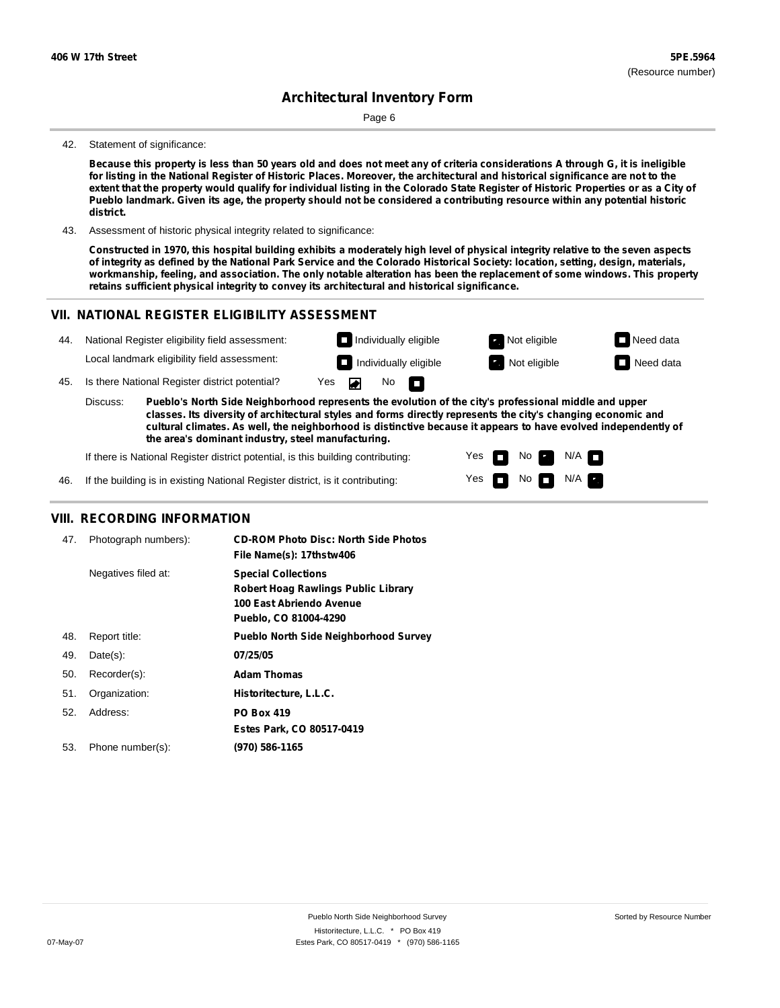Page 6

#### 42. Statement of significance:

Because this property is less than 50 years old and does not meet any of criteria considerations A through G, it is ineligible for listing in the National Register of Historic Places. Moreover, the architectural and historical significance are not to the extent that the property would qualify for individual listing in the Colorado State Register of Historic Properties or as a City of Pueblo landmark. Given its age, the property should not be considered a contributing resource within any potential historic **district.**

43. Assessment of historic physical integrity related to significance:

Constructed in 1970, this hospital building exhibits a moderately high level of physical integrity relative to the seven aspects of integrity as defined by the National Park Service and the Colorado Historical Society: location, setting, design, materials, workmanship, feeling, and association. The only notable alteration has been the replacement of some windows. This property **retains sufficient physical integrity to convey its architectural and historical significance.**

> Yes Yes

П

No

No  $\blacksquare$  N/A

 $N/A$ 

### **VII. NATIONAL REGISTER ELIGIBILITY ASSESSMENT**



**the area's dominant industry, steel manufacturing.**

If there is National Register district potential, is this building contributing:

If the building is in existing National Register district, is it contributing: 46.

### **VIII. RECORDING INFORMATION**

| 47. | Photograph numbers): | <b>CD-ROM Photo Disc: North Side Photos</b><br>File Name(s): 17thstw406                                                       |
|-----|----------------------|-------------------------------------------------------------------------------------------------------------------------------|
|     | Negatives filed at:  | <b>Special Collections</b><br><b>Robert Hoag Rawlings Public Library</b><br>100 East Abriendo Avenue<br>Pueblo, CO 81004-4290 |
| 48. | Report title:        | <b>Pueblo North Side Neighborhood Survey</b>                                                                                  |
| 49. | $Date(s)$ :          | 07/25/05                                                                                                                      |
| 50. | Recorder(s):         | <b>Adam Thomas</b>                                                                                                            |
| 51. | Organization:        | Historitecture, L.L.C.                                                                                                        |
| 52. | Address:             | <b>PO Box 419</b>                                                                                                             |
|     |                      | Estes Park, CO 80517-0419                                                                                                     |
| 53. | Phone number(s):     | (970) 586-1165                                                                                                                |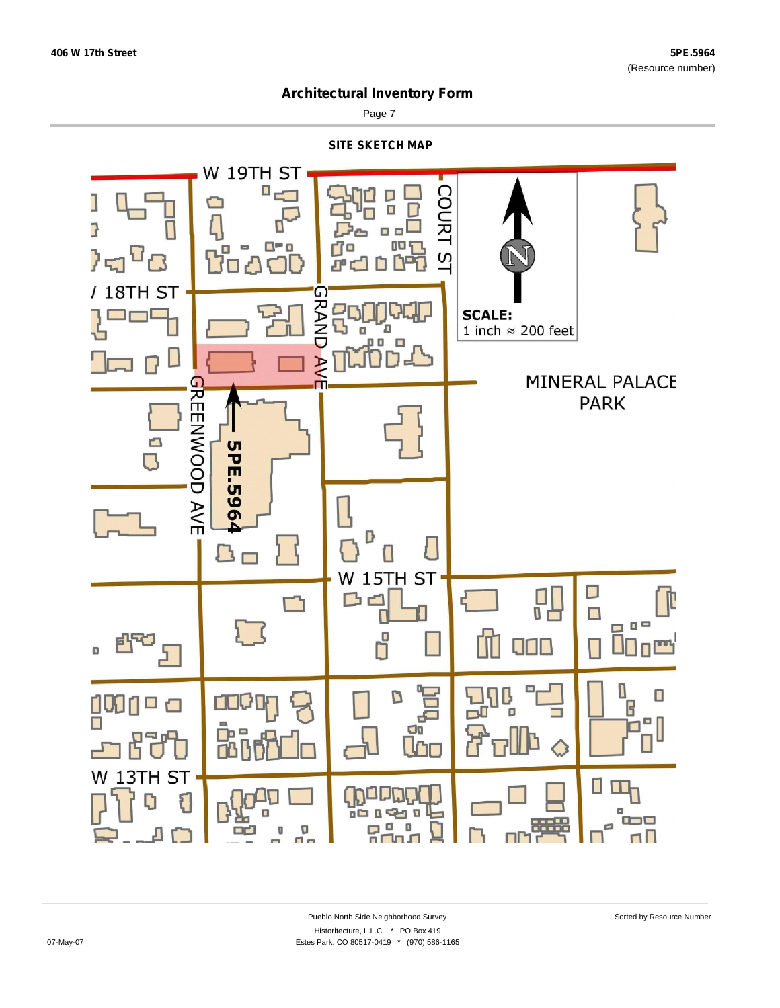

Page 7